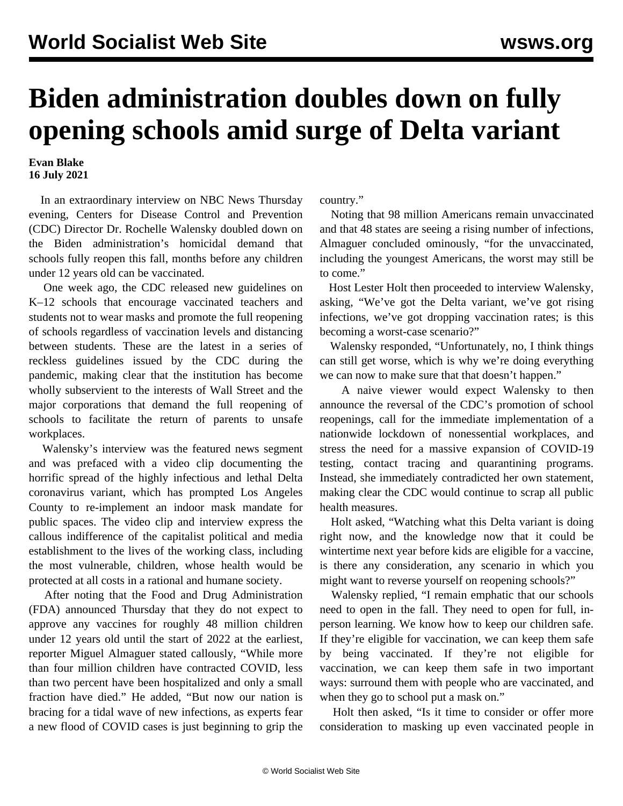## **Biden administration doubles down on fully opening schools amid surge of Delta variant**

**Evan Blake 16 July 2021**

 In an extraordinary interview on NBC News Thursday evening, Centers for Disease Control and Prevention (CDC) Director Dr. Rochelle Walensky doubled down on the Biden administration's homicidal demand that schools fully reopen this fall, months before any children under 12 years old can be vaccinated.

 One week ago, the CDC [released new guidelines](/en/articles/2021/07/12/scho-j12.html) on K–12 schools that encourage vaccinated teachers and students not to wear masks and promote the full reopening of schools regardless of vaccination levels and distancing between students. These are the latest in a series of reckless guidelines issued by the CDC during the pandemic, making clear that the institution has become wholly subservient to the interests of Wall Street and the major corporations that demand the full reopening of schools to facilitate the return of parents to unsafe workplaces.

 Walensky's interview was the featured news segment and was prefaced with a video clip documenting the horrific spread of the highly infectious and lethal Delta coronavirus variant, which has prompted Los Angeles County to re-implement an indoor mask mandate for public spaces. The [video clip and interview](https://youtu.be/OXumPTKyXMc?t=70) express the callous indifference of the capitalist political and media establishment to the lives of the working class, including the most vulnerable, children, whose health would be protected at all costs in a rational and humane society.

 After noting that the Food and Drug Administration (FDA) announced Thursday that they do not expect to approve any vaccines for roughly 48 million children under 12 years old until the start of 2022 at the earliest, reporter Miguel Almaguer stated callously, "While more than four million children have contracted COVID, less than two percent have been hospitalized and only a small fraction have died." He added, "But now our nation is bracing for a tidal wave of new infections, as experts fear a new flood of COVID cases is just beginning to grip the

country."

 Noting that 98 million Americans remain unvaccinated and that 48 states are seeing a rising number of infections, Almaguer concluded ominously, "for the unvaccinated, including the youngest Americans, the worst may still be to come."

 Host Lester Holt then proceeded to interview Walensky, asking, "We've got the Delta variant, we've got rising infections, we've got dropping vaccination rates; is this becoming a worst-case scenario?"

 Walensky responded, "Unfortunately, no, I think things can still get worse, which is why we're doing everything we can now to make sure that that doesn't happen."

 A naive viewer would expect Walensky to then announce the reversal of the CDC's promotion of school reopenings, call for the immediate implementation of a nationwide lockdown of nonessential workplaces, and stress the need for a massive expansion of COVID-19 testing, contact tracing and quarantining programs. Instead, she immediately contradicted her own statement, making clear the CDC would continue to scrap all public health measures.

 Holt asked, "Watching what this Delta variant is doing right now, and the knowledge now that it could be wintertime next year before kids are eligible for a vaccine, is there any consideration, any scenario in which you might want to reverse yourself on reopening schools?"

 Walensky replied, "I remain emphatic that our schools need to open in the fall. They need to open for full, inperson learning. We know how to keep our children safe. If they're eligible for vaccination, we can keep them safe by being vaccinated. If they're not eligible for vaccination, we can keep them safe in two important ways: surround them with people who are vaccinated, and when they go to school put a mask on."

 Holt then asked, "Is it time to consider or offer more consideration to masking up even vaccinated people in